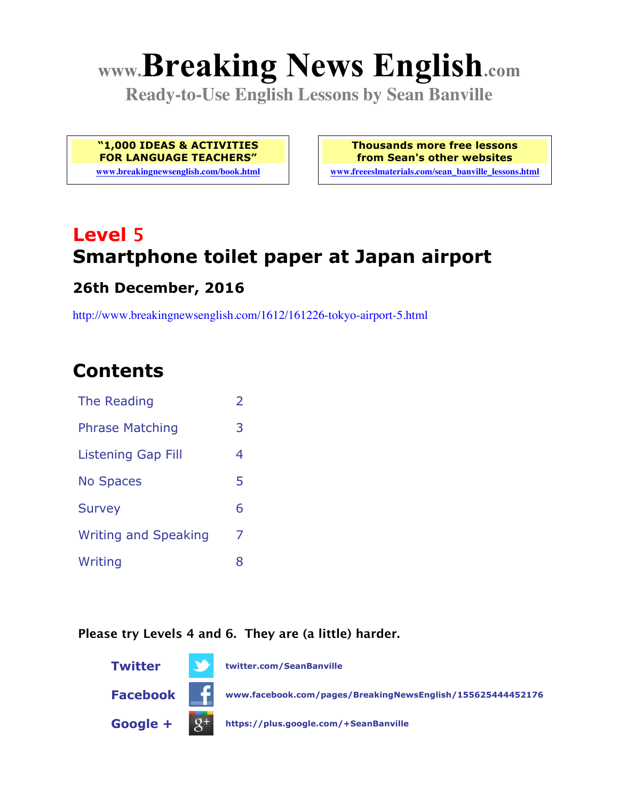# **www.Breaking News English.com**

**Ready-to-Use English Lessons by Sean Banville**

**"1,000 IDEAS & ACTIVITIES FOR LANGUAGE TEACHERS"**

**www.breakingnewsenglish.com/book.html**

**Thousands more free lessons from Sean's other websites www.freeeslmaterials.com/sean\_banville\_lessons.html**

## **Level 5 Smartphone toilet paper at Japan airport**

#### **26th December, 2016**

http://www.breakingnewsenglish.com/1612/161226-tokyo-airport-5.html

### **Contents**

| The Reading                 | $\overline{\phantom{a}}$ |
|-----------------------------|--------------------------|
| <b>Phrase Matching</b>      | 3                        |
| Listening Gap Fill          | 4                        |
| <b>No Spaces</b>            | 5                        |
| <b>Survey</b>               | 6                        |
| <b>Writing and Speaking</b> | 7                        |
| Writing                     | 8                        |

#### **Please try Levels 4 and 6. They are (a little) harder.**

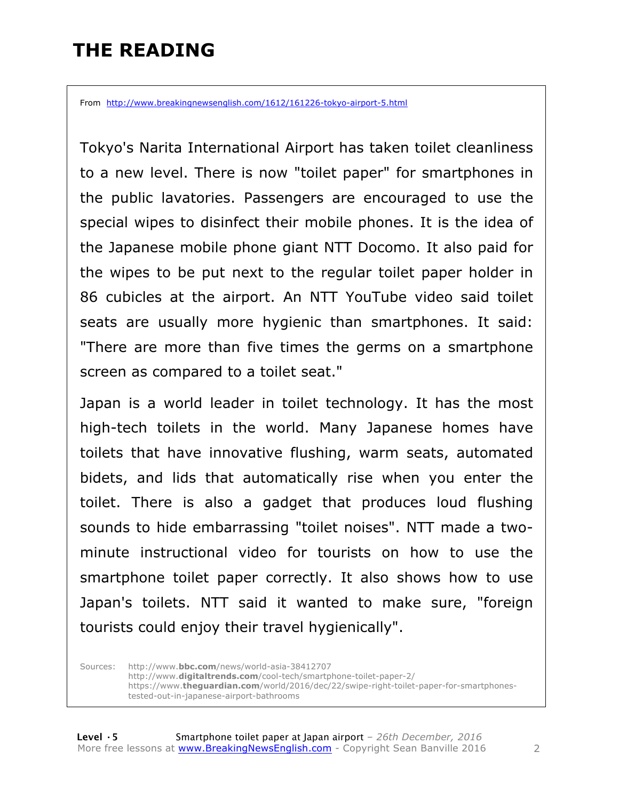### **THE READING**

From http://www.breakingnewsenglish.com/1612/161226-tokyo-airport-5.html

Tokyo's Narita International Airport has taken toilet cleanliness to a new level. There is now "toilet paper" for smartphones in the public lavatories. Passengers are encouraged to use the special wipes to disinfect their mobile phones. It is the idea of the Japanese mobile phone giant NTT Docomo. It also paid for the wipes to be put next to the regular toilet paper holder in 86 cubicles at the airport. An NTT YouTube video said toilet seats are usually more hygienic than smartphones. It said: "There are more than five times the germs on a smartphone screen as compared to a toilet seat."

Japan is a world leader in toilet technology. It has the most high-tech toilets in the world. Many Japanese homes have toilets that have innovative flushing, warm seats, automated bidets, and lids that automatically rise when you enter the toilet. There is also a gadget that produces loud flushing sounds to hide embarrassing "toilet noises". NTT made a twominute instructional video for tourists on how to use the smartphone toilet paper correctly. It also shows how to use Japan's toilets. NTT said it wanted to make sure, "foreign tourists could enjoy their travel hygienically".

Sources: http://www.**bbc.com**/news/world-asia-38412707 http://www.**digitaltrends.com**/cool-tech/smartphone-toilet-paper-2/ https://www.**theguardian.com**/world/2016/dec/22/swipe-right-toilet-paper-for-smartphonestested-out-in-japanese-airport-bathrooms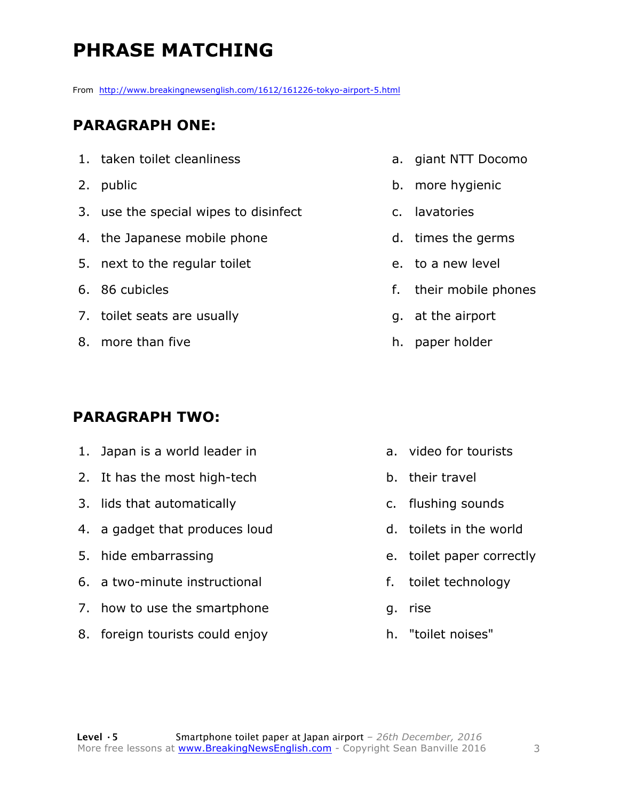### **PHRASE MATCHING**

From http://www.breakingnewsenglish.com/1612/161226-tokyo-airport-5.html

#### **PARAGRAPH ONE:**

- 1. taken toilet cleanliness
- 2. public
- 3. use the special wipes to disinfect
- 4. the Japanese mobile phone
- 5. next to the regular toilet
- 6. 86 cubicles
- 7. toilet seats are usually
- 8. more than five

#### **PARAGRAPH TWO:**

- 1. Japan is a world leader in
- 2. It has the most high-tech
- 3. lids that automatically
- 4. a gadget that produces loud
- 5. hide embarrassing
- 6. a two-minute instructional
- 7. how to use the smartphone
- 8. foreign tourists could enjoy
- a. giant NTT Docomo
- b. more hygienic
- c. lavatories
- d. times the germs
- e. to a new level
- f. their mobile phones
- g. at the airport
- h. paper holder

- a. video for tourists
- b. their travel
- c. flushing sounds
- d. toilets in the world
- e. toilet paper correctly
- f. toilet technology
- g. rise
- h. "toilet noises"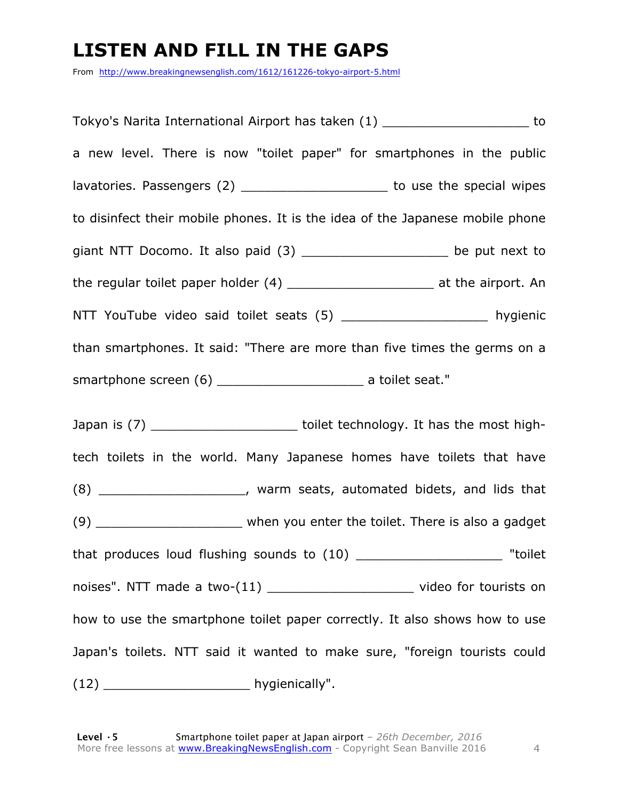### **LISTEN AND FILL IN THE GAPS**

From http://www.breakingnewsenglish.com/1612/161226-tokyo-airport-5.html

Tokyo's Narita International Airport has taken (1) \_\_\_\_\_\_\_\_\_\_\_\_\_\_\_\_\_\_\_ to a new level. There is now "toilet paper" for smartphones in the public lavatories. Passengers (2) \_\_\_\_\_\_\_\_\_\_\_\_\_\_\_\_\_\_\_\_\_\_\_ to use the special wipes to disinfect their mobile phones. It is the idea of the Japanese mobile phone giant NTT Docomo. It also paid  $(3)$  \_\_\_\_\_\_\_\_\_\_\_\_\_\_\_\_\_\_\_\_\_\_ be put next to the regular toilet paper holder (4) \_\_\_\_\_\_\_\_\_\_\_\_\_\_\_\_\_\_\_\_\_\_\_\_\_ at the airport. An NTT YouTube video said toilet seats (5) \_\_\_\_\_\_\_\_\_\_\_\_\_\_\_\_\_\_\_\_\_\_ hygienic than smartphones. It said: "There are more than five times the germs on a smartphone screen (6) \_\_\_\_\_\_\_\_\_\_\_\_\_\_\_\_\_\_\_ a toilet seat."

Japan is (7) \_\_\_\_\_\_\_\_\_\_\_\_\_\_\_\_\_\_\_\_\_\_\_\_ toilet technology. It has the most hightech toilets in the world. Many Japanese homes have toilets that have (8) \_\_\_\_\_\_\_\_\_\_\_\_\_\_\_\_\_\_\_, warm seats, automated bidets, and lids that (9) When you enter the toilet. There is also a gadget that produces loud flushing sounds to (10) \_\_\_\_\_\_\_\_\_\_\_\_\_\_\_\_\_\_\_\_\_\_\_ "toilet noises". NTT made a two-(11) \_\_\_\_\_\_\_\_\_\_\_\_\_\_\_\_\_\_\_\_\_\_\_ video for tourists on how to use the smartphone toilet paper correctly. It also shows how to use Japan's toilets. NTT said it wanted to make sure, "foreign tourists could (12) hygienically".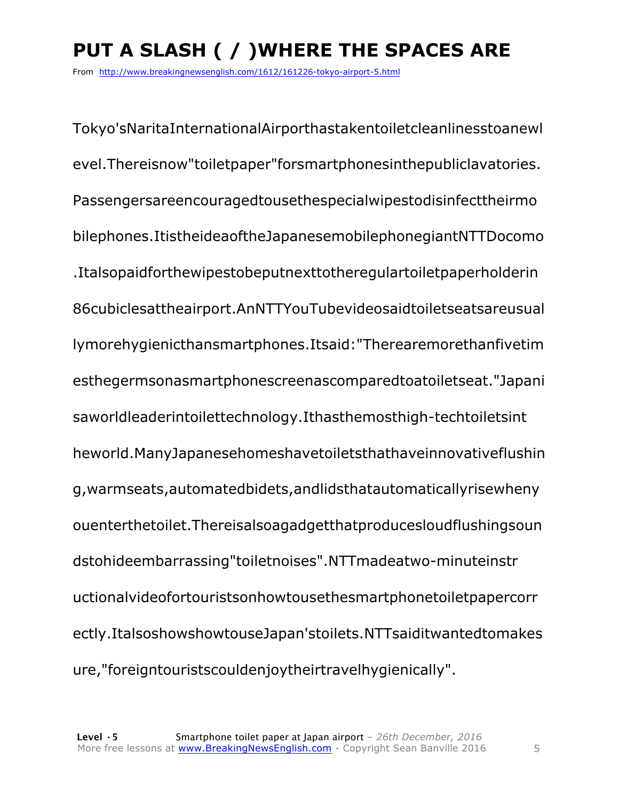### **PUT A SLASH ( / )WHERE THE SPACES ARE**

From http://www.breakingnewsenglish.com/1612/161226-tokyo-airport-5.html

Tokyo'sNaritaInternationalAirporthastakentoiletcleanlinesstoanewl evel.Thereisnow"toiletpaper"forsmartphonesinthepubliclavatories. Passengersareencouragedtousethespecialwipestodisinfecttheirmo bilephones.ItistheideaoftheJapanesemobilephonegiantNTTDocomo .Italsopaidforthewipestobeputnexttotheregulartoiletpaperholderin 86cubiclesattheairport.AnNTTYouTubevideosaidtoiletseatsareusual lymorehygienicthansmartphones.Itsaid:"Therearemorethanfivetim esthegermsonasmartphonescreenascomparedtoatoiletseat."Japani saworldleaderintoilettechnology.Ithasthemosthigh-techtoiletsint heworld.ManyJapanesehomeshavetoiletsthathaveinnovativeflushin g,warmseats,automatedbidets,andlidsthatautomaticallyrisewheny ouenterthetoilet.Thereisalsoagadgetthatproducesloudflushingsoun dstohideembarrassing"toiletnoises".NTTmadeatwo-minuteinstr uctionalvideofortouristsonhowtousethesmartphonetoiletpapercorr ectly.ItalsoshowshowtouseJapan'stoilets.NTTsaiditwantedtomakes ure,"foreigntouristscouldenjoytheirtravelhygienically".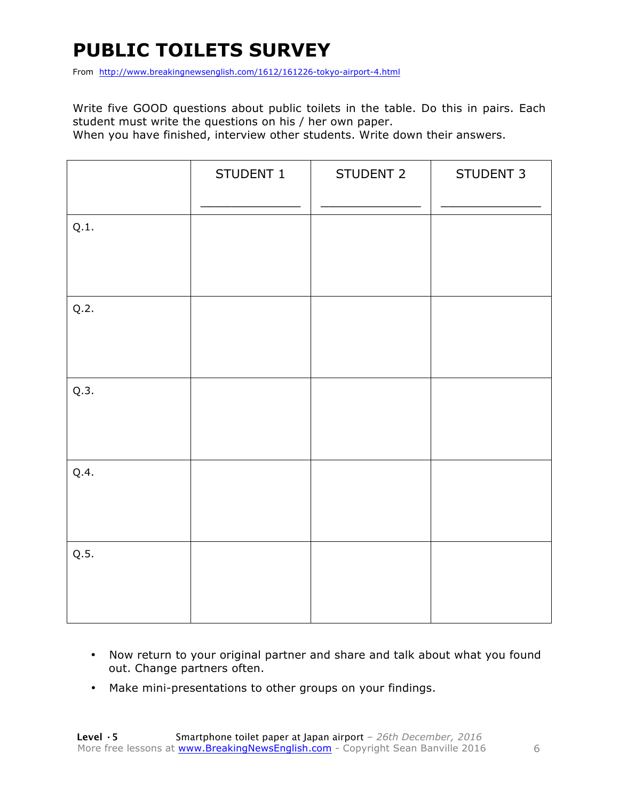### **PUBLIC TOILETS SURVEY**

From http://www.breakingnewsenglish.com/1612/161226-tokyo-airport-4.html

Write five GOOD questions about public toilets in the table. Do this in pairs. Each student must write the questions on his / her own paper.

When you have finished, interview other students. Write down their answers.

|      | STUDENT 1 | STUDENT 2 | STUDENT 3 |
|------|-----------|-----------|-----------|
| Q.1. |           |           |           |
| Q.2. |           |           |           |
| Q.3. |           |           |           |
| Q.4. |           |           |           |
| Q.5. |           |           |           |

- Now return to your original partner and share and talk about what you found out. Change partners often.
- Make mini-presentations to other groups on your findings.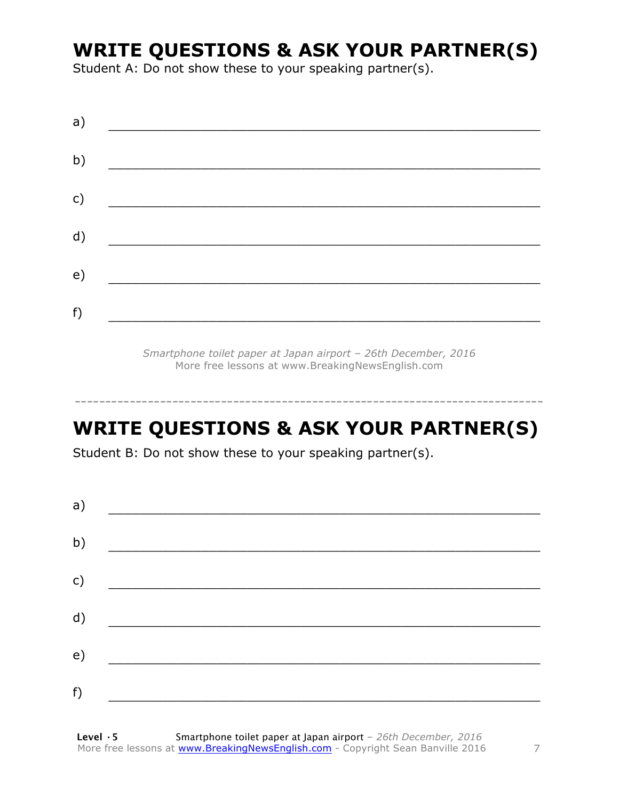### **WRITE QUESTIONS & ASK YOUR PARTNER(S)**

Student A: Do not show these to your speaking partner(s).

*Smartphone toilet paper at Japan airport – 26th December, 2016* More free lessons at www.BreakingNewsEnglish.com

### **WRITE QUESTIONS & ASK YOUR PARTNER(S)**

-----------------------------------------------------------------------------

Student B: Do not show these to your speaking partner(s).

| a) |  |  |
|----|--|--|
| b) |  |  |
| c) |  |  |
| d) |  |  |
| e) |  |  |
| f) |  |  |
|    |  |  |